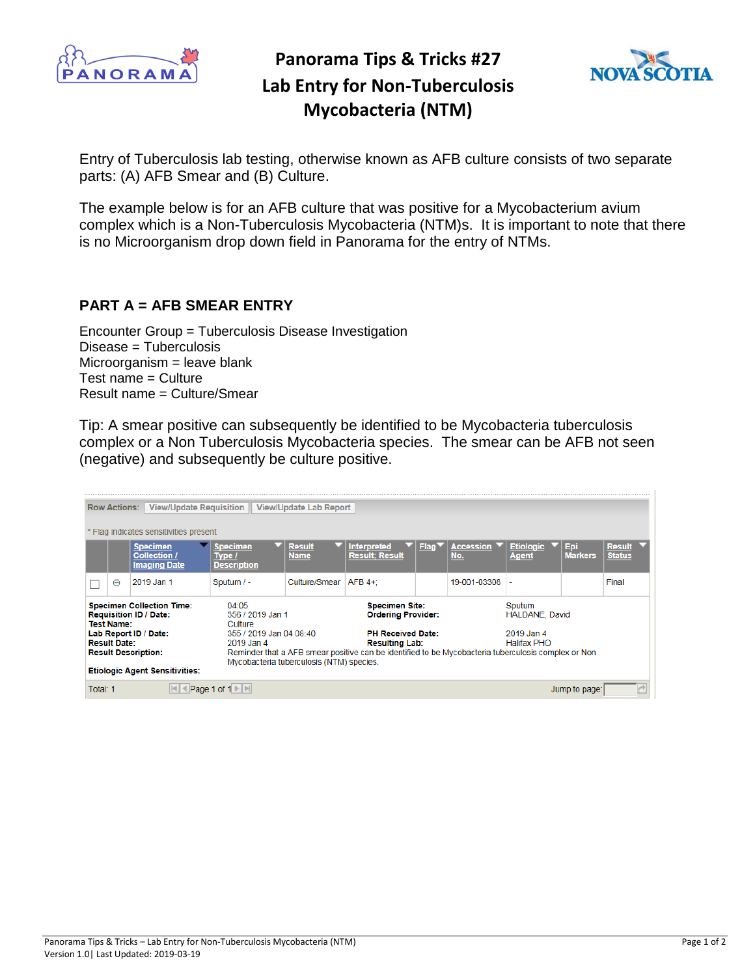

## **Panorama Tips & Tricks #27 Lab Entry for Non-Tuberculosis Mycobacteria (NTM)**



Entry of Tuberculosis lab testing, otherwise known as AFB culture consists of two separate parts: (A) AFB Smear and (B) Culture.

The example below is for an AFB culture that was positive for a Mycobacterium avium complex which is a Non-Tuberculosis Mycobacteria (NTM)s. It is important to note that there is no Microorganism drop down field in Panorama for the entry of NTMs.

## **PART A = AFB SMEAR ENTRY**

Encounter Group = Tuberculosis Disease Investigation Disease = Tuberculosis Microorganism = leave blank Test name = Culture Result name = Culture/Smear

Tip: A smear positive can subsequently be identified to be Mycobacteria tuberculosis complex or a Non Tuberculosis Mycobacteria species. The smear can be AFB not seen (negative) and subsequently be culture positive.

| <b>View/Update Requisition</b><br>View/Update Lab Report<br><b>Row Actions:</b>                                                                                               |   |                                                        |                                                                 |                              |                                                                                |                   |                  |                                               |                       |                                |  |
|-------------------------------------------------------------------------------------------------------------------------------------------------------------------------------|---|--------------------------------------------------------|-----------------------------------------------------------------|------------------------------|--------------------------------------------------------------------------------|-------------------|------------------|-----------------------------------------------|-----------------------|--------------------------------|--|
| * Flag indicates sensitivities present                                                                                                                                        |   |                                                        |                                                                 |                              |                                                                                |                   |                  |                                               |                       |                                |  |
|                                                                                                                                                                               |   | <b>Specimen</b><br>Collection /<br><b>Imaging Date</b> | <b>Specimen</b><br>Type /<br><b>Description</b>                 | <b>Result</b><br><b>Name</b> | <b>Interpreted</b><br><b>Result: Result</b>                                    | Flag <sup>1</sup> | Accession<br>No. | <b>Etiologic</b><br><b>Agent</b>              | Epi<br><b>Markers</b> | <b>Result</b><br><b>Status</b> |  |
|                                                                                                                                                                               | Θ | 2019 Jan 1                                             | Sputum / -                                                      | Culture/Smear                | $AFB 4+$                                                                       |                   | 19-001-03308     |                                               |                       | Final                          |  |
| <b>Specimen Collection Time:</b><br><b>Requisition ID / Date:</b><br><b>Test Name:</b>                                                                                        |   |                                                        | 04:05<br>356 / 2019 Jan 1<br>Culture<br>355 / 2019 Jan 04 08:40 |                              | <b>Specimen Site:</b><br><b>Ordering Provider:</b><br><b>PH Received Date:</b> |                   |                  | Sputum<br><b>HALDANE, David</b><br>2019 Jan 4 |                       |                                |  |
| Lab Report ID / Date:<br><b>Result Date:</b>                                                                                                                                  |   |                                                        | 2019 Jan 4                                                      |                              | <b>Resulting Lab:</b>                                                          |                   |                  | <b>Halifax PHO</b>                            |                       |                                |  |
| Reminder that a AFB smear positive can be identified to be Mycobacteria tuberculosis complex or Non<br><b>Result Description:</b><br>Mycobacteria tuberculosis (NTM) species. |   |                                                        |                                                                 |                              |                                                                                |                   |                  |                                               |                       |                                |  |
| <b>Etiologic Agent Sensitivities:</b>                                                                                                                                         |   |                                                        |                                                                 |                              |                                                                                |                   |                  |                                               |                       |                                |  |
| Total: 1                                                                                                                                                                      |   |                                                        | Page 1 of 1                                                     |                              |                                                                                |                   |                  | Jump to page:                                 |                       |                                |  |